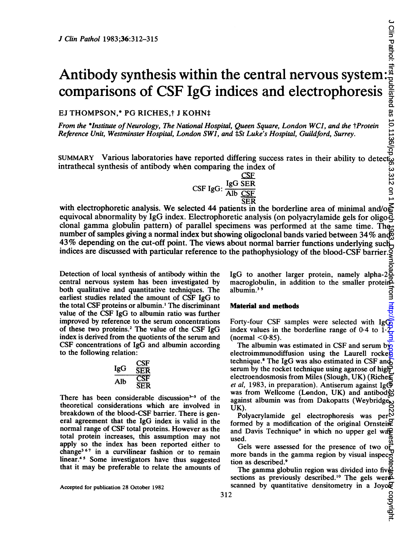# Antibody synthesis within the central nervous system: comparisons of CSF IgG indices and electrophoresis

# EJ THOMPSON,\* PG RICHES,† J KOHN‡

From the \*Institute of Neurology, The National Hospital, Queen Square, London WCI, and the †Protein Reference Unit, Westminster Hospital, London SWI, and tSt Luke's Hospital, Guildford, Surrey.

SUMMARY Various laboratories have reported differing success rates in their ability to detect intrathecal synthesis of antibody when comparing the index of

|               | <u>CSF</u> |
|---------------|------------|
| $CSF$ $IgG$ : | IgG SER    |
|               | Alb CSF    |
|               | SER        |

-<br>\* SER<br>with electrophoretic analysis. We selected 44 patients in the borderline area of minimal and/o equivocal abnormality by IgG index. Electrophoretic analysis (on polyacrylamide gels for oligoclonal gamma globulin pattern) of parallel specimens was performed at the same time. The number of samples giving <sup>a</sup> normal index but showing oligoclonal bands varied between 34% and 43% depending on the cut-off point. The views about normal barrier functions underlying such indices are discussed with particular reference to the pathophysiology of the blood-CSF barrier.

Detection of local synthesis of antibody within the central nervous system has been investigated by both qualitative and quantitative techniques. The earliest studies related the amount of CSF IgG to the total CSF proteins or albumin.' The discriminant value of the CSF IgG to albumin ratio was further improved by reference to the serum concentrations of these two proteins.2 The value of the CSF IgG index is derived from the quotients of the serum and CSF concentrations of IgG and albumin according to the following relation:<br> $I_{\text{gG}} \quad \frac{G}{S}$ 

$$
\begin{array}{cc}\n\text{IgG} & \frac{\text{CSF}}{\text{SER}} \\
\hline\n\text{Alb} & \frac{\text{CSF}}{\text{SER}} \\
\end{array}
$$

There has been considerable discussion $3-5$  of the theoretical considerations which are involved in breakdown of the blood-CSF barrier. There is general agreement that the IgG index is valid in the normal range of CSF total proteins. However as the total protein increases, this assumption may not apply so the index has been reported either to change367 in a curvilinear fashion or to remain linear.45 Some investigators have thus suggested that it may be preferable to relate the amounts of

Accepted for publication 28 October 1982

IgG to another larger protein, namely alpha-2 $\frac{2}{3}$ macroglobulin, in addition to the smaller protein albumin. $35$ 

# Material and methods

Forty-four CSF samples were selected with IgG index values in the borderline range of  $0.4$  to  $1$  $(normal < 0.85)$ .

The albumin was estimated in CSF and serum by electroimmunodiffusion using the Laurell rocket technique.<sup>8</sup> The IgG was also estimated in CSF and serum by the rocket technique using agarose of highelectroendosmosis from Miles (Slough, UK) (Riche $\boldsymbol{\Sigma}$ et al, 1983, in preparation). Antiserum against Ig $\Phi$ was from Wellcome (London, UK) and antibody? against albumin was from Dakopatts (Weybridget) UK). on Din Pathol: first published as 10.1136/gp.312 on 1 March 1993. Downloaded from http://jcp.published. Protected by copyright. Downloaded by copyright.

Polyacrylamide gel electrophoresis was per $\stackrel{\infty}{\text{Der}}$ formed by a modification of the original Ornstein and Davis Technique<sup>9</sup> in which no upper gel wa $\mathbb{R}$ used.

Gels were assessed for the presence of two of more bands in the gamma region by visual inspec $\overline{C}$ tion as described.9

The gamma globulin region was divided into five sections as previously described.<sup>10</sup> The gels were scanned by quantitative densitometry in a Joyc $\mathcal{F}$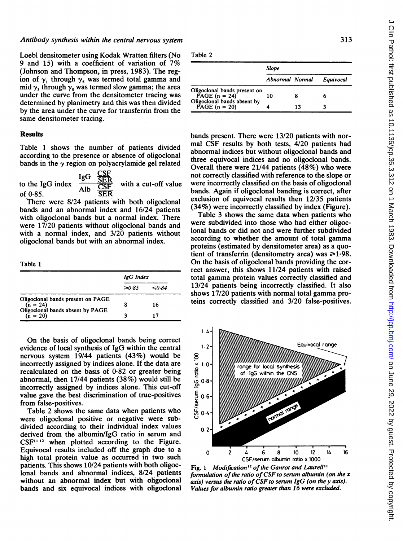### Antibody synthesis within the central nervous system

Loebl densitometer using Kodak Wratten filters (No <sup>9</sup> and 15) with <sup>a</sup> coefficient of variation of 7% (Johnson and Thompson, in press, 1983). The region of  $\gamma_1$  through  $\gamma_5$  was termed total gamma and mid  $\gamma_3$  through  $\gamma_5$  was termed slow gamma; the area under the curve from the densitometer tracing was determined by planimetry and this was then divided by the area under the curve for transferrin from the same densitometer tracing.

## **Results**

Table <sup>1</sup> shows the number of patients divided according to the presence or absence of oligoclonal bands in the  $\gamma$  region on polyacrylamide gel related

to the IgG index  $\frac{SEN}{\text{Alb}}$  with a cut-off value of  $0.85$ .  $\overline{SER}$ 

There were 8/24 patients with both oligoclonal bands and an abnormal index and 16/24 patients with oligoclonal bands but a normal index. There were 17/20 patients without oligoclonal bands and with a normal index, and 3/20 patients without oligoclonal bands but with an abnormal index.

Table 1

|                                                                                     | IgG Index |             |  |
|-------------------------------------------------------------------------------------|-----------|-------------|--|
|                                                                                     | ≥0.85     | $\leq 0.84$ |  |
| Oligoclonal bands present on PAGE<br>$(n = 24)$<br>Oligoclonal bands absent by PAGE | 8         | 16          |  |
| $(n = 20)$                                                                          | ર         |             |  |

On the basis of oligoclonal bands being correct evidence of local synthesis of IgG within the central nervous system 19/44 patients (43%) would be incorrectly assigned by indices alone. If the data are recalculated on the basis of 0\*82 or greater being abnormal, then 17/44 patients (38%) would still be incorrectly assigned by indices alone. This cut-off value gave the best discrimination of true-positives from false-positives.

Table 2 shows the same data when patients who were oligoclonal positive or negative were subdivided according to their individual index values derived from the albumin/IgG ratio in serum and  $CSF<sup>11 12</sup>$  when plotted according to the Figure. Equivocal results included off the graph due to a high total protein value as occurred in two such patients. This shows 10/24 patients with both oligoclonal bands and abnormal indices, 8/24 patients without an abnormal index but with oligoclonal bands and six equivocal indices with oligoclonal

| ٠<br>×<br>٠<br>ı |  |
|------------------|--|
|------------------|--|

|                                                 | <b>Slope</b>    |    |           |
|-------------------------------------------------|-----------------|----|-----------|
|                                                 | Abnormal Normal |    | Equivocal |
| Oligoclonal bands present on<br>PAGE $(n = 24)$ | 10              |    |           |
| Oligoclonal bands absent by<br>PAGE $(n = 20)$  |                 | 13 |           |

bands present. There were 13/20 patients with normal CSF results by both tests, 4/20 patients had abnormal indices but without oligoclonal bands and three equivocal indices and no oligoclonal bands. Overall there were 21/44 patients (48%) who were not correctly classified with reference to the slope or were incorrectly classified on the basis of oligoclonal bands. Again if oligoclonal banding is correct, after exclusion of equivocal results then 12/35 patients (34%) were incorrectly classified by index (Figure).

Table 3 shows the same data when patients who were subdivided into those who had either oligoclonal bands or did not and were further subdivided according to whether the amount of total gamma proteins (estimated by densitometer area) as a quotient of transferrin (densitometry area) was  $\geq 1.98$ . On the basis of oligoclonal bands providing the correct answer, this shows 11/24 patients with raised total gamma protein values correctly classified and 13/24 patients being incorrectly classified. It also shows 17/20 patients with normal total gamma proteins correctly classified and 3/20 false-positives.



Fig. 1 Modification<sup>12</sup> of the Ganrot and Laurell<sup>11</sup> formulation of the ratio of CSF to serum albumin (on the  $x$ axis) versus the ratio of CSF to serum IgG (on the y axis). Values for albumin ratio greater than 16 were excluded.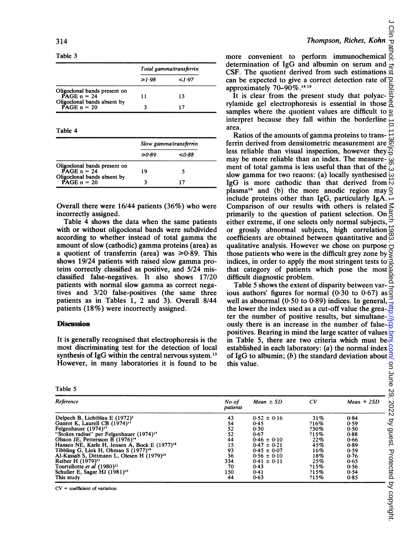Table 3

|                                               | Total gamma/transferrin |             |
|-----------------------------------------------|-------------------------|-------------|
|                                               | $\geq 1.98$             | $\leq 1.97$ |
| Oligoclonal bands present on<br>PAGE $n = 24$ |                         |             |
|                                               | 11                      | 13          |
| Oligoclonal bands absent by<br>PAGE $n = 20$  |                         |             |

Table 4

|                                                                                  | Slow gamma/transferrin |       |
|----------------------------------------------------------------------------------|------------------------|-------|
|                                                                                  | ≥0.89                  | ≤0∙88 |
| Oligoclonal bands present on<br>$\text{PAGE}$ n = 24                             | 19                     |       |
| Oligoclonal bands absent by<br>$\mathbf{P}\mathbf{A}\mathbf{G}\mathbf{E}$ n = 20 |                        |       |

Overall there were 16/44 patients (36%) who were incorrectly assigned.

Table 4 shows the data when the same patients with or without oligoclonal bands were subdivided according to whether instead of total gamma the amount of slow (cathodic) gamma proteins (area) as a quotient of transferrin (area) was  $\geq 0.89$ . This shows 19/24 patients with raised slow gamma proteins correctly classified as positive, and 5/24 misclassified false-negatives. It also shows 17/20 patients with normal slow gamma as correct negatives and 3/20 false-positives (the same three patients as in Tables 1, 2 and 3). Overall 8/44 patients (18%) were incorrectly assigned.

### **Discussion**

It is generally recognised that electrophoresis is the most discriminating test for the detection of local synthesis of IgG within the central nervous system.<sup>13</sup> However, in many laboratories it is found to be

Table 5

Pathol more convenient to perform immunochemical determination of IgG and albumin on serum and CSF. The quotient derived from such estimations  $\vec{a}$ can be expected to give a correct detection rate of ₽ approximately  $70 - 90\%$ .<sup>14 15</sup>

Ξā It is clear from the present study that polyacrylamide gel electrophoresis is essential in those samples where the quotient values are difficult to interpret because they fall within the borderline area.

Ratios of the amounts of gamma proteins to transferrin derived from densitometric measurement are less reliable than visual inspection, however they  $\overline{Q}$ may be more reliable than an index. The measurement of total gamma is less useful than that of the ċ۰ slow gamma for two reaons: (a) locally synthesised  $\omega$ IgG is more cathodic than that derived from  $\overrightarrow{D}$ plasma<sup>16</sup> and (b) the more anodic region may  $\subseteq$ include proteins other than IgG, particularly IgA. Comparison of our results with others is related  $\leq$ primarily to the question of patient selection. On either extreme, if one selects only normal subjects, or grossly abnormal subjects, high correlation coefficients are obtained between quantitative and qualitative analysis. However we chose on purpose  $\Box$ those patients who were in the difficult grey zone by indices, in order to apply the most stringent tests to that category of patients which pose the most difficult diagnostic problem.

Table 5 shows the extent of disparity between various authors' figures for normal  $(0.30 \text{ to } 0.67)$  as well as abnormal  $(0.50 \text{ to } 0.89)$  indices. In general, the lower the index used as a cut-off value the greater the number of positive results, but simultaneously there is an increase in the number of falsepositives. Bearing in mind the large scatter of values  $\frac{1}{2}$ in Table 5, there are two criteria which must be  $\geq$ established in each laboratory: (a) the normal index  $\beta$ of IgG to albumin; (b) the standard deviation about  $\exists$ this value.

| Reference                                                 | No of<br>patients | $Mean \pm SD$   | CV   | $Mean + 2SD$ |
|-----------------------------------------------------------|-------------------|-----------------|------|--------------|
| Delpech B, Lichtblau E (1972) <sup>2</sup>                | 43                | $0.52 \pm 0.16$ | 31%  | 0.84         |
| Ganrot K, Laurell CB (1974) <sup>11</sup>                 | 54                | 0.45            | ?16% | 0.59         |
| Felgenhauer (1974) <sup>17</sup>                          | 52                | 0.30            | ?30% | 0.50         |
| "Stokes radius" per Felgenhauer (1974) <sup>17</sup>      | 52                | 0.67            | 215% | 0.88         |
| Olsson JE, Pettersson B $(1976)^{14}$                     | 44                | $0.46 \pm 0.10$ | 22%  | 0.66         |
| Hansen NE, Karle H, Jensen A, Bock E (1977) <sup>18</sup> | 15                | $0.47 \pm 0.21$ | 45%  | 0.89         |
| Tibbling G, Link H, Ohman S (1977) <sup>19</sup>          | 93                | $0.45 \pm 0.07$ | 16%  | 0.59         |
| Al-Kassab S, Dittmann L, Olesen H (1979) <sup>20</sup>    | 36                | $0.56 \pm 0.10$ | 18%  | 0.76         |
| Reiber H $(1979)^{21}$                                    | 334               | $0.41 \pm 0.11$ | 25%  | 0.65         |
| Tourtellotte et al (1980) <sup>22</sup>                   | 70                | 0.43            | 215% | 0.56         |
| Schuller E, Sagar HJ (1981) <sup>23</sup>                 | 150               | 0.41            | 215% | 0.54         |
| This study                                                | 44                | 0.63            | ?15% | 0.85         |
|                                                           |                   |                 |      |              |

 $CV = coefficient of variation.$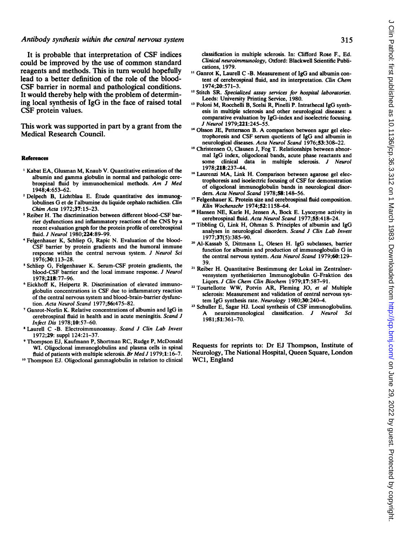### Antibody synthesis within the central nervous system

It is probable that interpretation of CSF indices could be improved by the use of common standard reagents and methods. This in turn would hopefully lead to a better definition of the role of the blood-CSF barrier in normal and pathological conditions. It would thereby help with the problem of determining local synthesis of IgG in the face of raised total CSF protein values.

This work was supported in part by a grant from the Medical Research Council.

#### References

- 'Kabat EA, Glusman M, Knaub V. Quantitative estimation of the albumin and gamma globulin in normal and pathologic cerebrospinal fluid by immunochemical methods. Am <sup>J</sup> Med 1948;4:653-62.
- <sup>2</sup> Delpech B, Lichtblau E. Etude quantitative des immunoglobulines G et de l'albumine du liquide cephalo rachidien. Clin Chim Acta 1972;37:15-23.
- <sup>3</sup> Reiber H. The discrimination between different blood-CSF barrier dysfunctions and inflammatory reactions of the CNS by <sup>a</sup> recent evaluation graph for the protein profile of cerebrospinal fluid. J Neurol 1980;224:89-99.
- 4Felgenhauer K, Schliep G, Rapic N. Evaluation of the blood-CSF barrier by protein gradients and the humoral immune response within the central nervous system. J Neurol Sci 1976;30: 113-28.
- <sup>5</sup> Schliep G, Felgenhauer K. Serum-CSF protein gradients, the blood-CSF barrier and the local immune response. J Neurol 1978;218:77-96.
- <sup>6</sup> Eickhoff K, Heipertz R. Discrimination of elevated immunoglobulin concentrations in CSF due to inflammatory reaction of the central nervous system and blood-brain-barrier dysfunction. Acta Neurol Scand 1977;56:475-82.
- 7Ganrot-Norlin K. Relative concentrations of albumin and IgG in cerebrospinal fluid in health and in acute meningitis. Scand J Infect Dis 1978;10:57-60.
- Laurell C -B. Electroimmunoassay. Scand J Clin Lab Invest 1972;29: suppl 124:21-37.
- <sup>9</sup> Thompson EJ, Kaufmann P, Shortman RC, Rudge P, McDonald WI. Oligoclonal immunoglobulins and plasma cells in spinal fluid of patients with multiple sclerosis. Br Med J 1979;1:16-7.
- <sup>10</sup> Thompson EJ. Oligoclonal gammaglobulin in relation to clinical

classification in multiple sclerosis. In: Clifford Rose F., Ed. Clinical neuroimmunology, Oxford: Blackwell Scientific Publications, 1979.

- <sup>11</sup> Ganrot K, Laurell C -B. Measurement of IgG and albumin content of cerebrospinal fluid, and its interpretation. Clin Chem 1974;20:571-3.
- <sup>12</sup> Stitch SR. Specialized assay services for hospital laboratories. Leeds: University Printing Service, 1980.
- <sup>13</sup> Poloni M, Rocchelli B, Scelsi R, Pineili P. Intrathecal IgG synthesis in multiple sclerosis and other neurological diseases: a comparative evaluation by IgG-index and isoelectric focusing. J Neurol 1979;221:245-55.
- <sup>14</sup> Olsson JE, Pettersson B. A comparison between agar gel electrophoresis and CSF serum quotients of IgG and albumin in neurological diseases. Acta Neurol Scand 1976;53:308-22.
- <sup>15</sup> Christensen O, Clausen J, Fog T. Relationships between abnormal IgG index, oligoclonal bands, acute phase reactants and some clinical data in multiple sclerosis. J Neurol 1978;218:237-44.
- <sup>16</sup> Laurenzi MA, Link H. Comparison between agarose gel electrophoresis and isoelectric focusing of CSF for demonstration of oligoclonal immunoglobulin bands in neurological disorders. Acta Neurol Scand 1978;58: 148-56.
- <sup>17</sup> Felgenhauer K. Protein size and cerebrospinal fluid composition. Klin Wochenschr 1974;52:1158-64.
- <sup>18</sup> Hansen NE, Karle H, Jensen A, Bock E. Lysozyme activity in cerebrospinal fluid. Acta Neurol Scand 1977;55:418-24.
- '9 Tibbling G, Link H, Ohman S. Principles of albumin and IgG analyses in neurological disorders. Scand J Clin Lab Invest 1977;37(5):385-90.
- <sup>20</sup> Al-Kassab S, Dittmann L, Olesen H. IgG subclasses, barrier function for albumin and production of immunoglobulin G in the central nervous system. Acta Neurol Scand 1979;60:129-39.
- <sup>21</sup> Reiber H. Quantitative Bestimmung der Lokal im Zentralnervensystem synthetisierten Immunoglobulin G-Fraktion des Liqors. J Clin Chem Clin Biochem 1979;17:587-91.
- <sup>22</sup> Tourtellotte WW, Potvin AR, Fleming JO, et al Multiple sclerosis: Measurement and validation of central nervous system IgG synthesis rate. Neurology 1980;30:240-4.
- <sup>23</sup> Schuller E, Sagar HJ. Local synthesis of CSF immunoglobulins. neuroimmunological classification. J Neurol Sci 1981;51:361-70.

Requests for reprints to: Dr EJ Thompson, Institute of Neurology, The National Hospital, Queen Square, London WC1, England